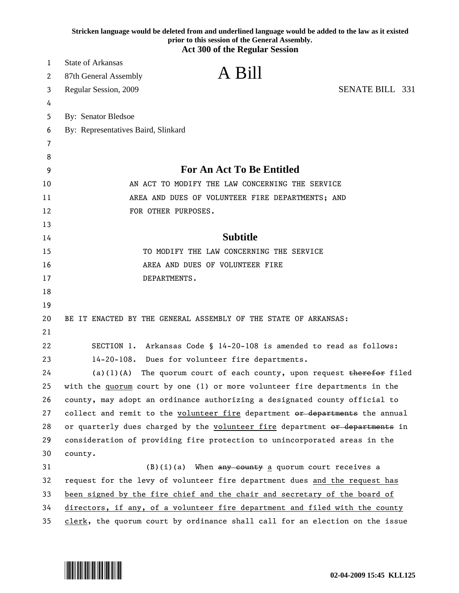|    | Stricken language would be deleted from and underlined language would be added to the law as it existed<br>prior to this session of the General Assembly. |
|----|-----------------------------------------------------------------------------------------------------------------------------------------------------------|
|    | <b>Act 300 of the Regular Session</b>                                                                                                                     |
| 1  | <b>State of Arkansas</b>                                                                                                                                  |
| 2  | A Bill<br>87th General Assembly                                                                                                                           |
| 3  | <b>SENATE BILL 331</b><br>Regular Session, 2009                                                                                                           |
| 4  |                                                                                                                                                           |
| 5  | <b>By: Senator Bledsoe</b>                                                                                                                                |
| 6  | By: Representatives Baird, Slinkard                                                                                                                       |
| 7  |                                                                                                                                                           |
| 8  |                                                                                                                                                           |
| 9  | <b>For An Act To Be Entitled</b>                                                                                                                          |
| 10 | AN ACT TO MODIFY THE LAW CONCERNING THE SERVICE                                                                                                           |
| 11 | AREA AND DUES OF VOLUNTEER FIRE DEPARTMENTS; AND                                                                                                          |
| 12 | FOR OTHER PURPOSES.                                                                                                                                       |
| 13 |                                                                                                                                                           |
| 14 | <b>Subtitle</b>                                                                                                                                           |
| 15 | TO MODIFY THE LAW CONCERNING THE SERVICE                                                                                                                  |
| 16 | AREA AND DUES OF VOLUNTEER FIRE                                                                                                                           |
| 17 | DEPARTMENTS.                                                                                                                                              |
| 18 |                                                                                                                                                           |
| 19 |                                                                                                                                                           |
| 20 | BE IT ENACTED BY THE GENERAL ASSEMBLY OF THE STATE OF ARKANSAS:                                                                                           |
| 21 |                                                                                                                                                           |
| 22 | SECTION 1. Arkansas Code § 14-20-108 is amended to read as follows:                                                                                       |
| 23 | $14 - 20 - 108$ .<br>Dues for volunteer fire departments.                                                                                                 |
| 24 | $(a)(1)(A)$ The quorum court of each county, upon request therefor filed                                                                                  |
| 25 | with the quorum court by one (1) or more volunteer fire departments in the                                                                                |
| 26 | county, may adopt an ordinance authorizing a designated county official to                                                                                |
| 27 | collect and remit to the volunteer fire department or departments the annual                                                                              |
| 28 | or quarterly dues charged by the volunteer fire department or departments in                                                                              |
| 29 | consideration of providing fire protection to unincorporated areas in the                                                                                 |
| 30 | county.                                                                                                                                                   |
| 31 | $(B)(i)(a)$ When any county a quorum court receives a                                                                                                     |
| 32 | request for the levy of volunteer fire department dues and the request has                                                                                |
| 33 | been signed by the fire chief and the chair and secretary of the board of                                                                                 |
| 34 | directors, if any, of a volunteer fire department and filed with the county                                                                               |
| 35 | clerk, the quorum court by ordinance shall call for an election on the issue                                                                              |

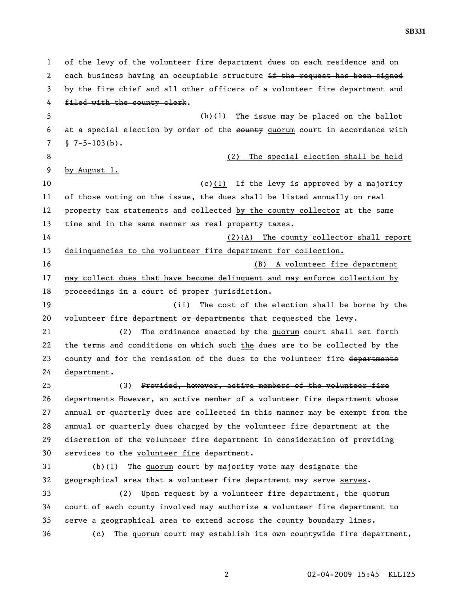1 of the levy of the volunteer fire department dues on each residence and on 2 each business having an occupiable structure if the request has been signed 3 by the fire chief and all other officers of a volunteer fire department and 4 filed with the county clerk. 5 (b)(1) The issue may be placed on the ballot 6 at a special election by order of the eounty quorum court in accordance with  $7 \quad$  § 7-5-103(b). 8 (2) The special election shall be held 9 by August 1. 10  $(c)(1)$  If the levy is approved by a majority 11 of those voting on the issue, the dues shall be listed annually on real 12 property tax statements and collected by the county collector at the same 13 time and in the same manner as real property taxes. 14 (2)(A) The county collector shall report 15 delinquencies to the volunteer fire department for collection. 16 (B) A volunteer fire department 17 may collect dues that have become delinquent and may enforce collection by 18 proceedings in a court of proper jurisdiction. 19 (ii) The cost of the election shall be borne by the 20 volunteer fire department or departments that requested the levy. 21 (2) The ordinance enacted by the quorum court shall set forth 22 the terms and conditions on which such the dues are to be collected by the 23 county and for the remission of the dues to the volunteer fire departments 24 department. 25 (3) Provided, however, active members of the volunteer fire 26 departments However, an active member of a volunteer fire department whose 27 annual or quarterly dues are collected in this manner may be exempt from the 28 annual or quarterly dues charged by the volunteer fire department at the 29 discretion of the volunteer fire department in consideration of providing 30 services to the volunteer fire department. 31 (b)(1) The quorum court by majority vote may designate the 32 geographical area that a volunteer fire department may serve serves. 33 (2) Upon request by a volunteer fire department, the quorum 34 court of each county involved may authorize a volunteer fire department to 35 serve a geographical area to extend across the county boundary lines. 36 (c) The quorum court may establish its own countywide fire department,